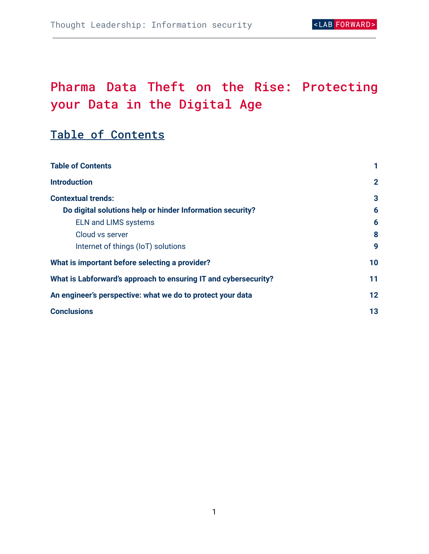# Pharma Data Theft on the Rise: Protecting your Data in the Digital Age

# <span id="page-0-0"></span>Table of Contents

| <b>Table of Contents</b>                                        |              |
|-----------------------------------------------------------------|--------------|
| <b>Introduction</b>                                             | $\mathbf{2}$ |
| <b>Contextual trends:</b>                                       | 3            |
| Do digital solutions help or hinder Information security?       | 6            |
| <b>ELN and LIMS systems</b>                                     | 6            |
| Cloud vs server                                                 | 8            |
| Internet of things (IoT) solutions                              | 9            |
| What is important before selecting a provider?                  | 10           |
| What is Labforward's approach to ensuring IT and cybersecurity? | 11           |
| An engineer's perspective: what we do to protect your data      | 12           |
| <b>Conclusions</b>                                              | 13           |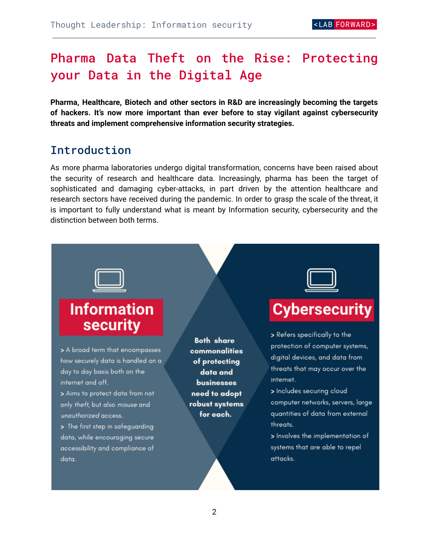# Pharma Data Theft on the Rise: Protecting your Data in the Digital Age

**Pharma, Healthcare, Biotech and other sectors in R&D are increasingly becoming the targets of hackers. It's now more important than ever before to stay vigilant against cybersecurity threats and implement comprehensive information security strategies.**

### <span id="page-1-0"></span>Introduction

As more pharma laboratories undergo digital transformation, concerns have been raised about the security of research and healthcare data. Increasingly, pharma has been the target of sophisticated and damaging cyber-attacks, in part driven by the attention healthcare and research sectors have received during the pandemic. In order to grasp the scale of the threat, it is important to fully understand what is meant by Information security, cybersecurity and the distinction between both terms.

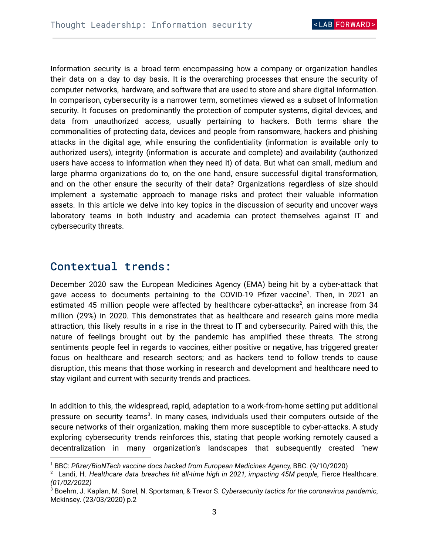Information security is a broad term encompassing how a company or organization handles their data on a day to day basis. It is the overarching processes that ensure the security of computer networks, hardware, and software that are used to store and share digital information. In comparison, cybersecurity is a narrower term, sometimes viewed as a subset of Information security. It focuses on predominantly the protection of computer systems, digital devices, and data from unauthorized access, usually pertaining to hackers. Both terms share the commonalities of protecting data, devices and people from ransomware, hackers and phishing attacks in the digital age, while ensuring the confidentiality (information is available only to authorized users), integrity (information is accurate and complete) and availability (authorized users have access to information when they need it) of data. But what can small, medium and large pharma organizations do to, on the one hand, ensure successful digital transformation, and on the other ensure the security of their data? Organizations regardless of size should implement a systematic approach to manage risks and protect their valuable information assets. In this article we delve into key topics in the discussion of security and uncover ways laboratory teams in both industry and academia can protect themselves against IT and cybersecurity threats.

### <span id="page-2-0"></span>Contextual trends:

December 2020 saw the European Medicines Agency (EMA) being hit by a cyber-attack that gave access to documents pertaining to the COVID-19 Pfizer vaccine<sup>1</sup>. Then, in 2021 an estimated 45 million people were affected by healthcare cyber-attacks<sup>2</sup>, an increase from 34 million (29%) in 2020. This demonstrates that as healthcare and research gains more media attraction, this likely results in a rise in the threat to IT and cybersecurity. Paired with this, the nature of feelings brought out by the pandemic has amplified these threats. The strong sentiments people feel in regards to vaccines, either positive or negative, has triggered greater focus on healthcare and research sectors; and as hackers tend to follow trends to cause disruption, this means that those working in research and development and healthcare need to stay vigilant and current with security trends and practices.

In addition to this, the widespread, rapid, adaptation to a work-from-home setting put additional pressure on security teams<sup>3</sup>. In many cases, individuals used their computers outside of the secure networks of their organization, making them more susceptible to cyber-attacks. A study exploring cybersecurity trends reinforces this, stating that people working remotely caused a decentralization in many organization's landscapes that subsequently created "new

<sup>1</sup> BBC: *Pfizer/BioNTech vaccine docs hacked from European Medicines Agency,* BBC. (9/10/2020)

<sup>2</sup> Landi, H. *Healthcare data breaches hit all-time high in 2021, impacting 45M people,* Fierce Healthcare. *(01/02/2022)*

<sup>3</sup> Boehm, J. Kaplan, M. Sorel, N. Sportsman, & Trevor S. *Cybersecurity tactics for the coronavirus pandemic*, Mckinsey. (23/03/2020) p.2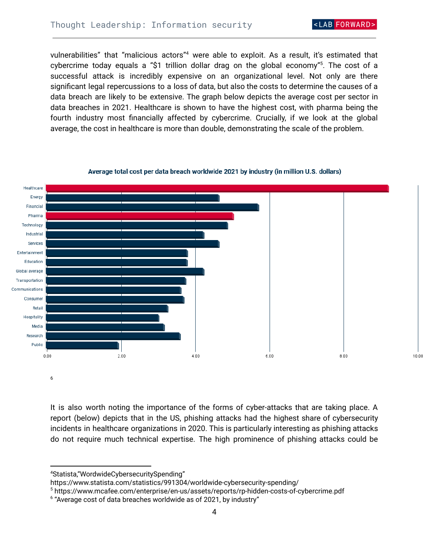AB FORWARD

10.00

vulnerabilities" that "malicious actors"<sup>4</sup> were able to exploit. As a result, it's estimated that cybercrime today equals a "\$1 trillion dollar drag on the global economy"<sup>5</sup>. The cost of a successful attack is incredibly expensive on an organizational level. Not only are there significant legal repercussions to a loss of data, but also the costs to determine the causes of a data breach are likely to be extensive. The graph below depicts the average cost per sector in data breaches in 2021. Healthcare is shown to have the highest cost, with pharma being the fourth industry most financially affected by cybercrime. Crucially, if we look at the global average, the cost in healthcare is more than double, demonstrating the scale of the problem.

#### Healthcare Energy Financial Pharma Technology Industrial Services Entertainment Education Global average Transportation Communications Consumer Retail Hospitality Media Research Public  $0.00$ 2.00 4.00 6.00  $8.00$

Average total cost per data breach worldwide 2021 by industry (in million U.S. dollars)

It is also worth noting the importance of the forms of cyber-attacks that are taking place. A report (below) depicts that in the US, phishing attacks had the highest share of cybersecurity incidents in healthcare organizations in 2020. This is particularly interesting as phishing attacks do not require much technical expertise. The high prominence of phishing attacks could be

6

<sup>4</sup>Statista,"WordwideCybersecuritySpending"

https://www.statista.com/statistics/991304/worldwide-cybersecurity-spending/

<sup>5</sup> https://www.mcafee.com/enterprise/en-us/assets/reports/rp-hidden-costs-of-cybercrime.pdf

 $6$  "Average cost of data breaches worldwide as of 2021, by industry"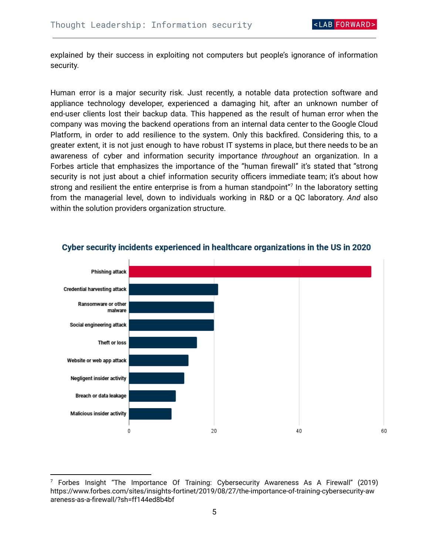explained by their success in exploiting not computers but people's ignorance of information security.

Human error is a major security risk. Just recently, a notable data protection software and appliance technology developer, experienced a damaging hit, after an unknown number of end-user clients lost their backup data. This happened as the result of human error when the company was moving the backend operations from an internal data center to the Google Cloud Platform, in order to add resilience to the system. Only this backfired. Considering this, to a greater extent, it is not just enough to have robust IT systems in place, but there needs to be an awareness of cyber and information security importance *throughout* an organization. In a Forbes article that emphasizes the importance of the "human firewall" it's stated that "strong security is not just about a chief information security officers immediate team; it's about how strong and resilient the entire enterprise is from a human standpoint"<sup>7</sup> In the laboratory setting from the managerial level, down to individuals working in R&D or a QC laboratory. *And* also within the solution providers organization structure.



#### Cyber security incidents experienced in healthcare organizations in the US in 2020

 $7$  Forbes Insight "The Importance Of Training: Cybersecurity Awareness As A Firewall" (2019) https://www.forbes.com/sites/insights-fortinet/2019/08/27/the-importance-of-training-cybersecurity-aw areness-as-a-firewall/?sh=ff144ed8b4bf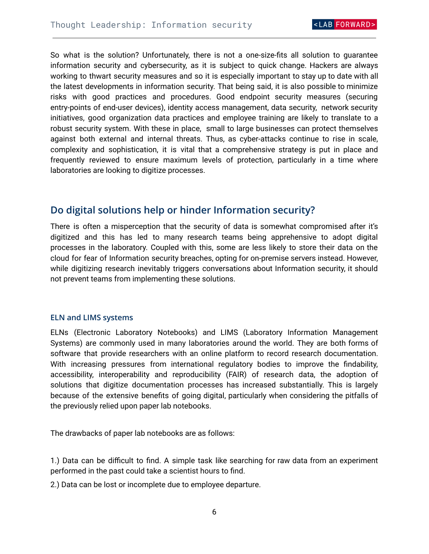So what is the solution? Unfortunately, there is not a one-size-fits all solution to guarantee information security and cybersecurity, as it is subject to quick change. Hackers are always working to thwart security measures and so it is especially important to stay up to date with all the latest developments in information security. That being said, it is also possible to minimize risks with good practices and procedures. Good endpoint security measures (securing entry-points of end-user devices), identity access management, data security, network security initiatives, good organization data practices and employee training are likely to translate to a robust security system. With these in place, small to large businesses can protect themselves against both external and internal threats. Thus, as cyber-attacks continue to rise in scale, complexity and sophistication, it is vital that a comprehensive strategy is put in place and frequently reviewed to ensure maximum levels of protection, particularly in a time where laboratories are looking to digitize processes.

### <span id="page-5-0"></span>**Do digital solutions help or hinder Information security?**

There is often a misperception that the security of data is somewhat compromised after it's digitized and this has led to many research teams being apprehensive to adopt digital processes in the laboratory. Coupled with this, some are less likely to store their data on the cloud for fear of Information security breaches, opting for on-premise servers instead. However, while digitizing research inevitably triggers conversations about Information security, it should not prevent teams from implementing these solutions.

#### <span id="page-5-1"></span>**ELN and LIMS systems**

ELNs (Electronic Laboratory Notebooks) and LIMS (Laboratory Information Management Systems) are commonly used in many laboratories around the world. They are both forms of software that provide researchers with an online platform to record research documentation. With increasing pressures from international regulatory bodies to improve the findability, accessibility, interoperability and reproducibility (FAIR) of research data, the adoption of solutions that digitize documentation processes has increased substantially. This is largely because of the extensive benefits of going digital, particularly when considering the pitfalls of the previously relied upon paper lab notebooks.

The drawbacks of paper lab notebooks are as follows:

1.) Data can be difficult to find. A simple task like searching for raw data from an experiment performed in the past could take a scientist hours to find.

2.) Data can be lost or incomplete due to employee departure.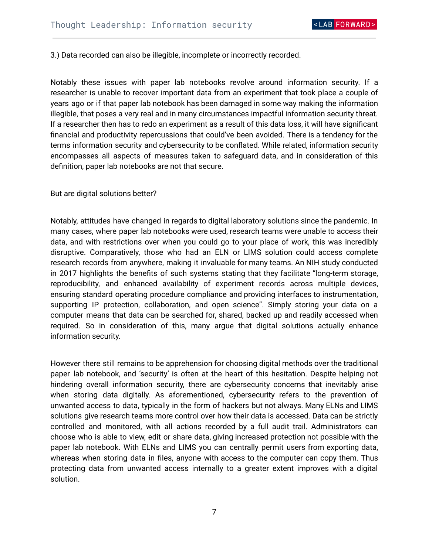3.) Data recorded can also be illegible, incomplete or incorrectly recorded.

Notably these issues with paper lab notebooks revolve around information security. If a researcher is unable to recover important data from an experiment that took place a couple of years ago or if that paper lab notebook has been damaged in some way making the information illegible, that poses a very real and in many circumstances impactful information security threat. If a researcher then has to redo an experiment as a result of this data loss, it will have significant financial and productivity repercussions that could've been avoided. There is a tendency for the terms information security and cybersecurity to be conflated. While related, information security encompasses all aspects of measures taken to safeguard data, and in consideration of this definition, paper lab notebooks are not that secure.

But are digital solutions better?

Notably, attitudes have changed in regards to digital laboratory solutions since the pandemic. In many cases, where paper lab notebooks were used, research teams were unable to access their data, and with restrictions over when you could go to your place of work, this was incredibly disruptive. Comparatively, those who had an ELN or LIMS solution could access complete research records from anywhere, making it invaluable for many teams. An NIH study conducted in 2017 highlights the benefits of such systems stating that they facilitate "long-term storage, reproducibility, and enhanced availability of experiment records across multiple devices, ensuring standard operating procedure compliance and providing interfaces to instrumentation, supporting IP protection, collaboration, and open science". Simply storing your data on a computer means that data can be searched for, shared, backed up and readily accessed when required. So in consideration of this, many argue that digital solutions actually enhance information security.

However there still remains to be apprehension for choosing digital methods over the traditional paper lab notebook, and 'security' is often at the heart of this hesitation. Despite helping not hindering overall information security, there are cybersecurity concerns that inevitably arise when storing data digitally. As aforementioned, cybersecurity refers to the prevention of unwanted access to data, typically in the form of hackers but not always. Many ELNs and LIMS solutions give research teams more control over how their data is accessed. Data can be strictly controlled and monitored, with all actions recorded by a full audit trail. Administrators can choose who is able to view, edit or share data, giving increased protection not possible with the paper lab notebook. With ELNs and LIMS you can centrally permit users from exporting data, whereas when storing data in files, anyone with access to the computer can copy them. Thus protecting data from unwanted access internally to a greater extent improves with a digital solution.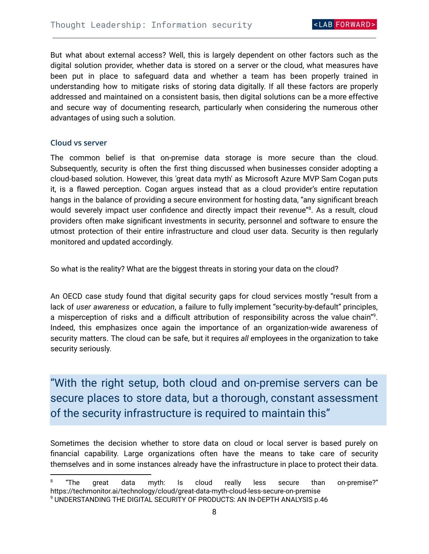But what about external access? Well, this is largely dependent on other factors such as the digital solution provider, whether data is stored on a server or the cloud, what measures have been put in place to safeguard data and whether a team has been properly trained in understanding how to mitigate risks of storing data digitally. If all these factors are properly addressed and maintained on a consistent basis, then digital solutions can be a more effective and secure way of documenting research, particularly when considering the numerous other advantages of using such a solution.

#### <span id="page-7-0"></span>**Cloud vs server**

The common belief is that on-premise data storage is more secure than the cloud. Subsequently, security is often the first thing discussed when businesses consider adopting a cloud-based solution. However, this 'great data myth' as Microsoft Azure MVP Sam Cogan puts it, is a flawed perception. Cogan argues instead that as a cloud provider's entire reputation hangs in the balance of providing a secure environment for hosting data, "any significant breach would severely impact user confidence and directly impact their revenue"<sup>8</sup>. As a result, cloud providers often make significant investments in security, personnel and software to ensure the utmost protection of their entire infrastructure and cloud user data. Security is then regularly monitored and updated accordingly.

So what is the reality? What are the biggest threats in storing your data on the cloud?

An OECD case study found that digital security gaps for cloud services mostly "result from a lack of *user awareness* or *education*, a failure to fully implement "security-by-default" principles, a misperception of risks and a difficult attribution of responsibility across the value chain"<sup>9</sup>. Indeed, this emphasizes once again the importance of an organization-wide awareness of security matters. The cloud can be safe, but it requires *all* employees in the organization to take security seriously.

"With the right setup, both cloud and on-premise servers can be secure places to store data, but a thorough, constant assessment of the security infrastructure is required to maintain this"

Sometimes the decision whether to store data on cloud or local server is based purely on financial capability. Large organizations often have the means to take care of security themselves and in some instances already have the infrastructure in place to protect their data.

<sup>8</sup> "The great data myth: Is cloud really less secure than on-premise?" https://techmonitor.ai/technology/cloud/great-data-myth-cloud-less-secure-on-premise

<sup>9</sup> UNDERSTANDING THE DIGITAL SECURITY OF PRODUCTS: AN IN-DEPTH ANALYSIS p.46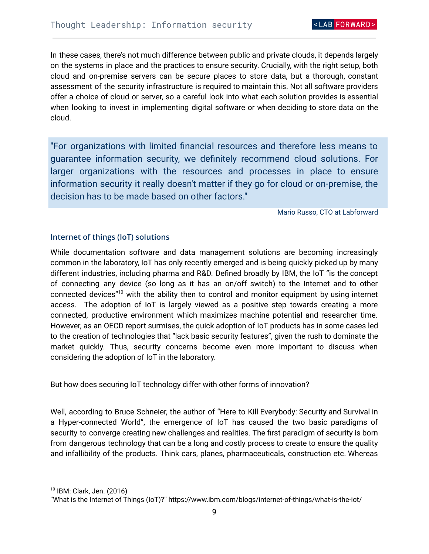In these cases, there's not much difference between public and private clouds, it depends largely on the systems in place and the practices to ensure security. Crucially, with the right setup, both cloud and on-premise servers can be secure places to store data, but a thorough, constant assessment of the security infrastructure is required to maintain this. Not all software providers offer a choice of cloud or server, so a careful look into what each solution provides is essential when looking to invest in implementing digital software or when deciding to store data on the cloud.

"For organizations with limited financial resources and therefore less means to guarantee information security, we definitely recommend cloud solutions. For larger organizations with the resources and processes in place to ensure information security it really doesn't matter if they go for cloud or on-premise, the decision has to be made based on other factors."

Mario Russo, CTO at Labforward

#### <span id="page-8-0"></span>**Internet of things (IoT) solutions**

While documentation software and data management solutions are becoming increasingly common in the laboratory, IoT has only recently emerged and is being quickly picked up by many different industries, including pharma and R&D. Defined broadly by IBM, the IoT "is the concept of connecting any device (so long as it has an on/off switch) to the Internet and to other connected devices"<sup>10</sup> with the ability then to control and monitor equipment by using internet access. The adoption of IoT is largely viewed as a positive step towards creating a more connected, productive environment which maximizes machine potential and researcher time. However, as an OECD report surmises, the quick adoption of IoT products has in some cases led to the creation of technologies that "lack basic security features", given the rush to dominate the market quickly. Thus, security concerns become even more important to discuss when considering the adoption of IoT in the laboratory.

But how does securing IoT technology differ with other forms of innovation?

Well, according to Bruce Schneier, the author of "Here to Kill Everybody: Security and Survival in a Hyper-connected World", the emergence of IoT has caused the two basic paradigms of security to converge creating new challenges and realities. The first paradigm of security is born from dangerous technology that can be a long and costly process to create to ensure the quality and infallibility of the products. Think cars, planes, pharmaceuticals, construction etc. Whereas

<sup>10</sup> IBM: Clark, Jen. (2016)

<sup>&</sup>quot;What is the Internet of Things (IoT)?" https://www.ibm.com/blogs/internet-of-things/what-is-the-iot/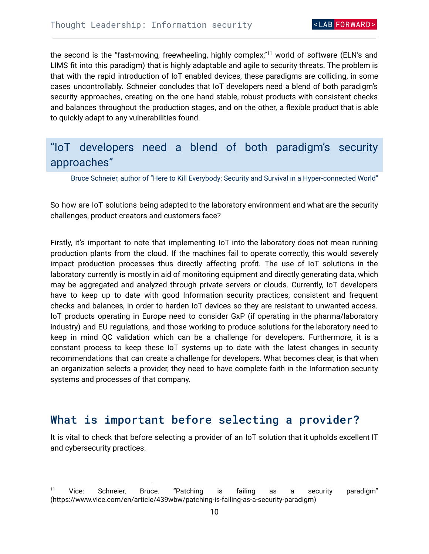the second is the "fast-moving, freewheeling, highly complex,"<sup>11</sup> world of software (ELN's and LIMS fit into this paradigm) that is highly adaptable and agile to security threats. The problem is that with the rapid introduction of IoT enabled devices, these paradigms are colliding, in some cases uncontrollably. Schneier concludes that IoT developers need a blend of both paradigm's security approaches, creating on the one hand stable, robust products with consistent checks and balances throughout the production stages, and on the other, a flexible product that is able to quickly adapt to any vulnerabilities found.

### "IoT developers need a blend of both paradigm's security approaches"

Bruce Schneier, author of "Here to Kill Everybody: Security and Survival in a Hyper-connected World"

So how are IoT solutions being adapted to the laboratory environment and what are the security challenges, product creators and customers face?

Firstly, it's important to note that implementing IoT into the laboratory does not mean running production plants from the cloud. If the machines fail to operate correctly, this would severely impact production processes thus directly affecting profit. The use of IoT solutions in the laboratory currently is mostly in aid of monitoring equipment and directly generating data, which may be aggregated and analyzed through private servers or clouds. Currently, IoT developers have to keep up to date with good Information security practices, consistent and frequent checks and balances, in order to harden IoT devices so they are resistant to unwanted access. IoT products operating in Europe need to consider GxP (if operating in the pharma/laboratory industry) and EU regulations, and those working to produce solutions for the laboratory need to keep in mind QC validation which can be a challenge for developers. Furthermore, it is a constant process to keep these IoT systems up to date with the latest changes in security recommendations that can create a challenge for developers. What becomes clear, is that when an organization selects a provider, they need to have complete faith in the Information security systems and processes of that company.

### <span id="page-9-0"></span>What is important before selecting a provider?

It is vital to check that before selecting a provider of an IoT solution that it upholds excellent IT and cybersecurity practices.

<sup>&</sup>lt;sup>11</sup> Vice: Schneier, Bruce. "Patching is failing as a security paradigm" (https://www.vice.com/en/article/439wbw/patching-is-failing-as-a-security-paradigm)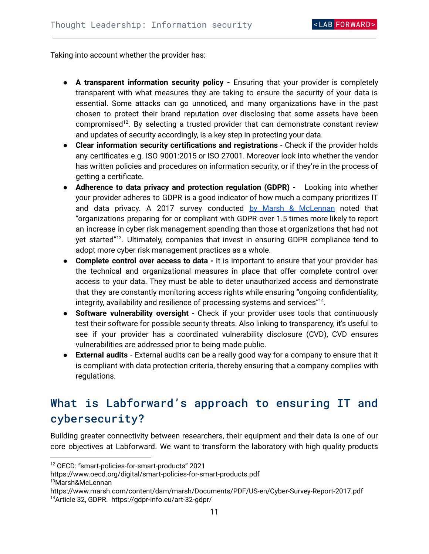Taking into account whether the provider has:

- **A transparent information security policy -** Ensuring that your provider is completely transparent with what measures they are taking to ensure the security of your data is essential. Some attacks can go unnoticed, and many organizations have in the past chosen to protect their brand reputation over disclosing that some assets have been compromised<sup>12</sup>. By selecting a trusted provider that can demonstrate constant review and updates of security accordingly, is a key step in protecting your data.
- **Clear information security certifications and registrations** Check if the provider holds any certificates e.g. ISO 9001:2015 or ISO 27001. Moreover look into whether the vendor has written policies and procedures on information security, or if they're in the process of getting a certificate.
- **Adherence to data privacy and protection regulation (GDPR) -** Looking into whether your provider adheres to GDPR is a good indicator of how much a company prioritizes IT and data privacy. A 2017 survey conducted by Marsh & [McLennan](https://www.marsh.com/content/dam/marsh/Documents/PDF/US-en/Cyber-Survey-Report-2017.pdf) noted that "organizations preparing for or compliant with GDPR over 1.5 times more likely to report an increase in cyber risk management spending than those at organizations that had not yet started"<sup>13</sup>. Ultimately, companies that invest in ensuring GDPR compliance tend to adopt more cyber risk management practices as a whole.
- **Complete control over access to data -** It is important to ensure that your provider has the technical and organizational measures in place that offer complete control over access to your data. They must be able to deter unauthorized access and demonstrate that they are constantly monitoring access rights while ensuring "ongoing confidentiality, integrity, availability and resilience of processing systems and services" $^{14}$ .
- **Software vulnerability oversight** Check if your provider uses tools that continuously test their software for possible security threats. Also linking to transparency, it's useful to see if your provider has a coordinated vulnerability disclosure (CVD), CVD ensures vulnerabilities are addressed prior to being made public.
- **External audits** External audits can be a really good way for a company to ensure that it is compliant with data protection criteria, thereby ensuring that a company complies with regulations.

## <span id="page-10-0"></span>What is Labforward's approach to ensuring IT and cybersecurity?

Building greater connectivity between researchers, their equipment and their data is one of our core objectives at Labforward. We want to transform the laboratory with high quality products

<sup>12</sup> OECD: "smart-policies-for-smart-products" 2021

<sup>13</sup>Marsh&McLennan https://www.oecd.org/digital/smart-policies-for-smart-products.pdf

<sup>14</sup>Article 32, GDPR. https://gdpr-info.eu/art-32-gdpr/ https://www.marsh.com/content/dam/marsh/Documents/PDF/US-en/Cyber-Survey-Report-2017.pdf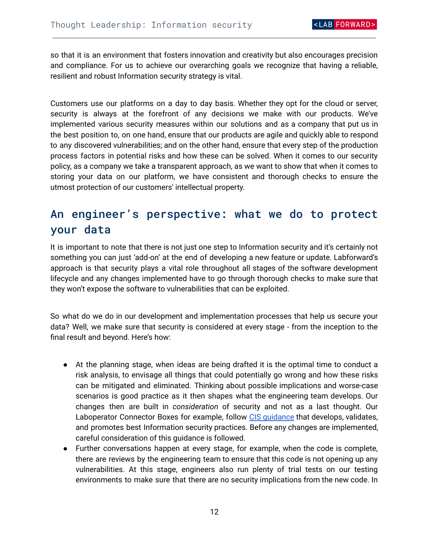so that it is an environment that fosters innovation and creativity but also encourages precision and compliance. For us to achieve our overarching goals we recognize that having a reliable, resilient and robust Information security strategy is vital.

Customers use our platforms on a day to day basis. Whether they opt for the cloud or server, security is always at the forefront of any decisions we make with our products. We've implemented various security measures within our solutions and as a company that put us in the best position to, on one hand, ensure that our products are agile and quickly able to respond to any discovered vulnerabilities; and on the other hand, ensure that every step of the production process factors in potential risks and how these can be solved. When it comes to our security policy, as a company we take a transparent approach, as we want to show that when it comes to storing your data on our platform, we have consistent and thorough checks to ensure the utmost protection of our customers' intellectual property.

## <span id="page-11-0"></span>An engineer's perspective: what we do to protect your data

It is important to note that there is not just one step to Information security and it's certainly not something you can just 'add-on' at the end of developing a new feature or update. Labforward's approach is that security plays a vital role throughout all stages of the software development lifecycle and any changes implemented have to go through thorough checks to make sure that they won't expose the software to vulnerabilities that can be exploited.

So what do we do in our development and implementation processes that help us secure your data? Well, we make sure that security is considered at every stage - from the inception to the final result and beyond. Here's how:

- At the planning stage, when ideas are being drafted it is the optimal time to conduct a risk analysis, to envisage all things that could potentially go wrong and how these risks can be mitigated and eliminated. Thinking about possible implications and worse-case scenarios is good practice as it then shapes what the engineering team develops. Our changes then are built in *consideration* of security and not as a last thought. Our Laboperator Connector Boxes for example, follow CIS quidance that develops, validates, and promotes best Information security practices. Before any changes are implemented, careful consideration of this guidance is followed.
- Further conversations happen at every stage, for example, when the code is complete, there are reviews by the engineering team to ensure that this code is not opening up any vulnerabilities. At this stage, engineers also run plenty of trial tests on our testing environments to make sure that there are no security implications from the new code. In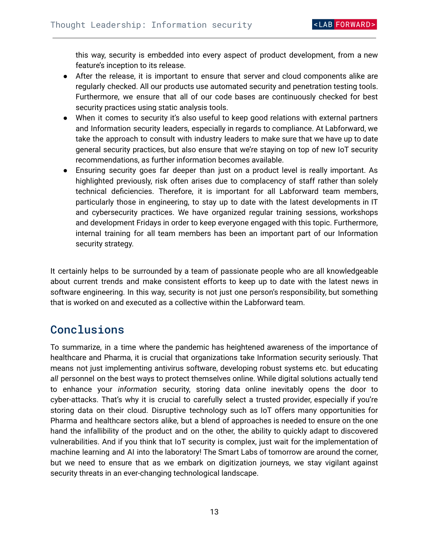this way, security is embedded into every aspect of product development, from a new feature's inception to its release.

- After the release, it is important to ensure that server and cloud components alike are regularly checked. All our products use automated security and penetration testing tools. Furthermore, we ensure that all of our code bases are continuously checked for best security practices using static analysis tools.
- When it comes to security it's also useful to keep good relations with external partners and Information security leaders, especially in regards to compliance. At Labforward, we take the approach to consult with industry leaders to make sure that we have up to date general security practices, but also ensure that we're staying on top of new IoT security recommendations, as further information becomes available.
- Ensuring security goes far deeper than just on a product level is really important. As highlighted previously, risk often arises due to complacency of staff rather than solely technical deficiencies. Therefore, it is important for all Labforward team members, particularly those in engineering, to stay up to date with the latest developments in IT and cybersecurity practices. We have organized regular training sessions, workshops and development Fridays in order to keep everyone engaged with this topic. Furthermore, internal training for all team members has been an important part of our Information security strategy.

It certainly helps to be surrounded by a team of passionate people who are all knowledgeable about current trends and make consistent efforts to keep up to date with the latest news in software engineering. In this way, security is not just one person's responsibility, but something that is worked on and executed as a collective within the Labforward team.

### <span id="page-12-0"></span>Conclusions

To summarize, in a time where the pandemic has heightened awareness of the importance of healthcare and Pharma, it is crucial that organizations take Information security seriously. That means not just implementing antivirus software, developing robust systems etc. but educating *all* personnel on the best ways to protect themselves online. While digital solutions actually tend to enhance your *information* security, storing data online inevitably opens the door to cyber-attacks. That's why it is crucial to carefully select a trusted provider, especially if you're storing data on their cloud. Disruptive technology such as IoT offers many opportunities for Pharma and healthcare sectors alike, but a blend of approaches is needed to ensure on the one hand the infallibility of the product and on the other, the ability to quickly adapt to discovered vulnerabilities. And if you think that IoT security is complex, just wait for the implementation of machine learning and AI into the laboratory! The Smart Labs of tomorrow are around the corner, but we need to ensure that as we embark on digitization journeys, we stay vigilant against security threats in an ever-changing technological landscape.